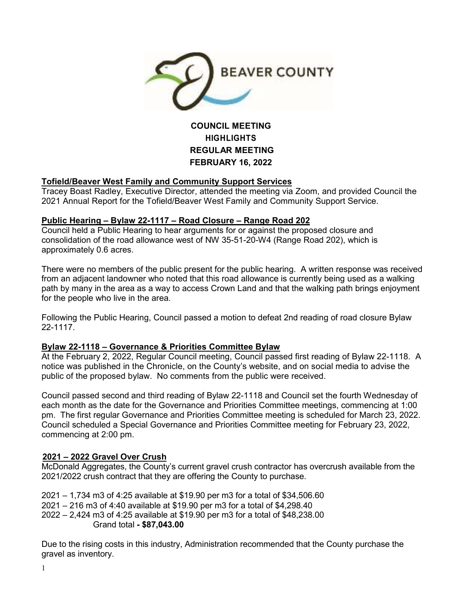

# **COUNCIL MEETING HIGHLIGHTS REGULAR MEETING FEBRUARY 16, 2022**

# **Tofield/Beaver West Family and Community Support Services**

Tracey Boast Radley, Executive Director, attended the meeting via Zoom, and provided Council the 2021 Annual Report for the Tofield/Beaver West Family and Community Support Service.

## **Public Hearing – Bylaw 22-1117 – Road Closure – Range Road 202**

Council held a Public Hearing to hear arguments for or against the proposed closure and consolidation of the road allowance west of NW 35-51-20-W4 (Range Road 202), which is approximately 0.6 acres.

There were no members of the public present for the public hearing. A written response was received from an adjacent landowner who noted that this road allowance is currently being used as a walking path by many in the area as a way to access Crown Land and that the walking path brings enjoyment for the people who live in the area.

Following the Public Hearing, Council passed a motion to defeat 2nd reading of road closure Bylaw 22-1117.

## **Bylaw 22-1118 – Governance & Priorities Committee Bylaw**

At the February 2, 2022, Regular Council meeting, Council passed first reading of Bylaw 22-1118. A notice was published in the Chronicle, on the County's website, and on social media to advise the public of the proposed bylaw. No comments from the public were received.

Council passed second and third reading of Bylaw 22-1118 and Council set the fourth Wednesday of each month as the date for the Governance and Priorities Committee meetings, commencing at 1:00 pm. The first regular Governance and Priorities Committee meeting is scheduled for March 23, 2022. Council scheduled a Special Governance and Priorities Committee meeting for February 23, 2022, commencing at 2:00 pm.

## **2021 – 2022 Gravel Over Crush**

McDonald Aggregates, the County's current gravel crush contractor has overcrush available from the 2021/2022 crush contract that they are offering the County to purchase.

2021 – 1,734 m3 of 4:25 available at \$19.90 per m3 for a total of \$34,506.60 2021 – 216 m3 of 4:40 available at \$19.90 per m3 for a total of \$4,298.40 2022 – 2,424 m3 of 4:25 available at \$19.90 per m3 for a total of \$48,238.00 Grand total **- \$87,043.00**

Due to the rising costs in this industry, Administration recommended that the County purchase the gravel as inventory.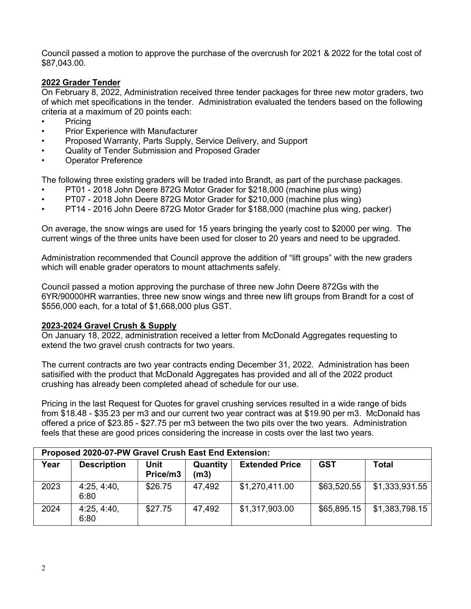Council passed a motion to approve the purchase of the overcrush for 2021 & 2022 for the total cost of \$87,043.00.

# **2022 Grader Tender**

On February 8, 2022, Administration received three tender packages for three new motor graders, two of which met specifications in the tender. Administration evaluated the tenders based on the following criteria at a maximum of 20 points each:

- **Pricing**
- Prior Experience with Manufacturer
- Proposed Warranty, Parts Supply, Service Delivery, and Support
- Quality of Tender Submission and Proposed Grader
- Operator Preference

The following three existing graders will be traded into Brandt, as part of the purchase packages.

- PT01 2018 John Deere 872G Motor Grader for \$218,000 (machine plus wing)
- PT07 2018 John Deere 872G Motor Grader for \$210,000 (machine plus wing)
- PT14 2016 John Deere 872G Motor Grader for \$188,000 (machine plus wing, packer)

On average, the snow wings are used for 15 years bringing the yearly cost to \$2000 per wing. The current wings of the three units have been used for closer to 20 years and need to be upgraded.

Administration recommended that Council approve the addition of "lift groups" with the new graders which will enable grader operators to mount attachments safely.

Council passed a motion approving the purchase of three new John Deere 872Gs with the 6YR/90000HR warranties, three new snow wings and three new lift groups from Brandt for a cost of \$556,000 each, for a total of \$1,668,000 plus GST.

#### **2023-2024 Gravel Crush & Supply**

On January 18, 2022, administration received a letter from McDonald Aggregates requesting to extend the two gravel crush contracts for two years.

The current contracts are two year contracts ending December 31, 2022. Administration has been satisified with the product that McDonald Aggregates has provided and all of the 2022 product crushing has already been completed ahead of schedule for our use.

Pricing in the last Request for Quotes for gravel crushing services resulted in a wide range of bids from \$18.48 - \$35.23 per m3 and our current two year contract was at \$19.90 per m3. McDonald has offered a price of \$23.85 - \$27.75 per m3 between the two pits over the two years. Administration feels that these are good prices considering the increase in costs over the last two years.

| Proposed 2020-07-PW Gravel Crush East End Extension: |                     |                  |                  |                       |             |                |  |  |
|------------------------------------------------------|---------------------|------------------|------------------|-----------------------|-------------|----------------|--|--|
| Year                                                 | <b>Description</b>  | Unit<br>Price/m3 | Quantity<br>(m3) | <b>Extended Price</b> | <b>GST</b>  | Total          |  |  |
| 2023                                                 | 4:25, 4:40,<br>6:80 | \$26.75          | 47,492           | \$1,270,411.00        | \$63,520.55 | \$1,333,931.55 |  |  |
| 2024                                                 | 4:25, 4:40,<br>6:80 | \$27.75          | 47,492           | \$1,317,903.00        | \$65,895.15 | \$1,383,798.15 |  |  |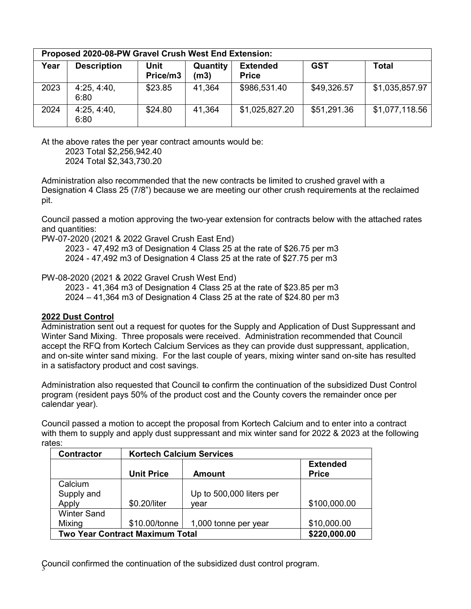| Proposed 2020-08-PW Gravel Crush West End Extension: |                     |                  |                  |                                 |             |                |  |  |
|------------------------------------------------------|---------------------|------------------|------------------|---------------------------------|-------------|----------------|--|--|
| Year                                                 | <b>Description</b>  | Unit<br>Price/m3 | Quantity<br>(m3) | <b>Extended</b><br><b>Price</b> | <b>GST</b>  | Total          |  |  |
| 2023                                                 | 4:25, 4:40.<br>6:80 | \$23.85          | 41,364           | \$986,531.40                    | \$49,326.57 | \$1,035,857.97 |  |  |
| 2024                                                 | 4:25, 4:40,<br>6:80 | \$24.80          | 41,364           | \$1,025,827.20                  | \$51,291.36 | \$1,077,118.56 |  |  |

At the above rates the per year contract amounts would be:

 2023 Total \$2,256,942.40 2024 Total \$2,343,730.20

Administration also recommended that the new contracts be limited to crushed gravel with a Designation 4 Class 25 (7/8") because we are meeting our other crush requirements at the reclaimed pit.

Council passed a motion approving the two-year extension for contracts below with the attached rates and quantities:

PW-07-2020 (2021 & 2022 Gravel Crush East End)

2023 - 47,492 m3 of Designation 4 Class 25 at the rate of \$26.75 per m3

2024 - 47,492 m3 of Designation 4 Class 25 at the rate of \$27.75 per m3

PW-08-2020 (2021 & 2022 Gravel Crush West End)

2023 - 41,364 m3 of Designation 4 Class 25 at the rate of \$23.85 per m3

2024 – 41,364 m3 of Designation 4 Class 25 at the rate of \$24.80 per m3

## **2022 Dust Control**

Administration sent out a request for quotes for the Supply and Application of Dust Suppressant and Winter Sand Mixing. Three proposals were received. Administration recommended that Council accept the RFQ from Kortech Calcium Services as they can provide dust suppressant, application, and on-site winter sand mixing. For the last couple of years, mixing winter sand on-site has resulted in a satisfactory product and cost savings.

Administration also requested that Council to confirm the continuation of the subsidized Dust Control program (resident pays 50% of the product cost and the County covers the remainder once per calendar year).

Council passed a motion to accept the proposal from Kortech Calcium and to enter into a contract with them to supply and apply dust suppressant and mix winter sand for 2022 & 2023 at the following rates:

| <b>Contractor</b>                      | <b>Kortech Calcium Services</b> |                          |                                 |  |  |
|----------------------------------------|---------------------------------|--------------------------|---------------------------------|--|--|
|                                        | <b>Unit Price</b>               | <b>Amount</b>            | <b>Extended</b><br><b>Price</b> |  |  |
| Calcium                                |                                 |                          |                                 |  |  |
| Supply and                             |                                 | Up to 500,000 liters per |                                 |  |  |
| Apply                                  | \$0.20/liter                    | vear                     | \$100,000.00                    |  |  |
| <b>Winter Sand</b>                     |                                 |                          |                                 |  |  |
| Mixing                                 | \$10.00/tonne                   | 1,000 tonne per year     | \$10,000.00                     |  |  |
| <b>Two Year Contract Maximum Total</b> | \$220,000.00                    |                          |                                 |  |  |

 $\mathcal G$ ouncil confirmed the continuation of the subsidized dust control program.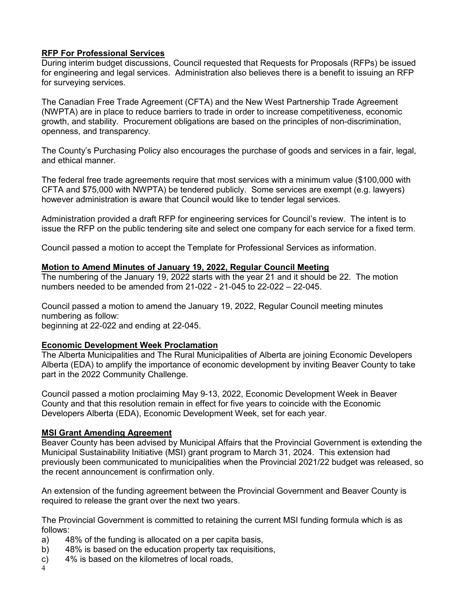# **RFP For Professional Services**

During interim budget discussions, Council requested that Requests for Proposals (RFPs) be issued for engineering and legal services. Administration also believes there is a benefit to issuing an RFP for surveying services.

The Canadian Free Trade Agreement (CFTA) and the New West Partnership Trade Agreement (NWPTA) are in place to reduce barriers to trade in order to increase competitiveness, economic growth, and stability. Procurement obligations are based on the principles of non-discrimination, openness, and transparency.

The County's Purchasing Policy also encourages the purchase of goods and services in a fair, legal, and ethical manner.

The federal free trade agreements require that most services with a minimum value (\$100,000 with CFTA and \$75,000 with NWPTA) be tendered publicly. Some services are exempt (e.g. lawyers) however administration is aware that Council would like to tender legal services.

Administration provided a draft RFP for engineering services for Council's review. The intent is to issue the RFP on the public tendering site and select one company for each service for a fixed term.

Council passed a motion to accept the Template for Professional Services as information.

#### **Motion to Amend Minutes of January 19, 2022, Regular Council Meeting**

The numbering of the January 19, 2022 starts with the year 21 and it should be 22. The motion numbers needed to be amended from 21-022 - 21-045 to 22-022 – 22-045.

Council passed a motion to amend the January 19, 2022, Regular Council meeting minutes numbering as follow: beginning at 22-022 and ending at 22-045.

## **Economic Development Week Proclamation**

The Alberta Municipalities and The Rural Municipalities of Alberta are joining Economic Developers Alberta (EDA) to amplify the importance of economic development by inviting Beaver County to take part in the 2022 Community Challenge.

Council passed a motion proclaiming May 9-13, 2022, Economic Development Week in Beaver County and that this resolution remain in effect for five years to coincide with the Economic Developers Alberta (EDA), Economic Development Week, set for each year.

## **MSI Grant Amending Agreement**

Beaver County has been advised by Municipal Affairs that the Provincial Government is extending the Municipal Sustainability Initiative (MSI) grant program to March 31, 2024. This extension had previously been communicated to municipalities when the Provincial 2021/22 budget was released, so the recent announcement is confirmation only.

An extension of the funding agreement between the Provincial Government and Beaver County is required to release the grant over the next two years.

The Provincial Government is committed to retaining the current MSI funding formula which is as follows:

- a) 48% of the funding is allocated on a per capita basis,
- b) 48% is based on the education property tax requisitions,
- c) 4% is based on the kilometres of local roads,
- 4